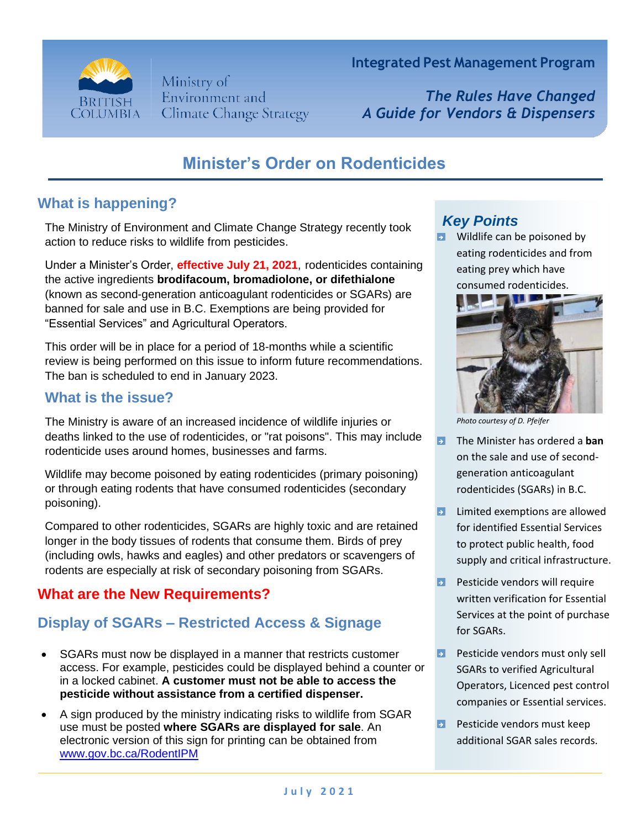

Ministry of Environment and **Climate Change Strategy**  **Integrated Pest Management Program**

*The Rules Have Changed A Guide for Vendors & Dispensers*

# **Minister's Order on Rodenticides**

## **What is happening?**

The Ministry of Environment and Climate Change Strategy recently took action to reduce risks to wildlife from pesticides.

Under a Minister's Order, **effective July 21, 2021**, rodenticides containing the active ingredients **brodifacoum, bromadiolone, or difethialone** (known as second-generation anticoagulant rodenticides or SGARs) are banned for sale and use in B.C. Exemptions are being provided for "Essential Services" and Agricultural Operators.

This order will be in place for a period of 18-months while a scientific review is being performed on this issue to inform future recommendations. The ban is scheduled to end in January 2023.

### **What is the issue?**

The Ministry is aware of an increased incidence of wildlife injuries or deaths linked to the use of rodenticides, or "rat poisons". This may include rodenticide uses around homes, businesses and farms.

Wildlife may become poisoned by eating rodenticides (primary poisoning) or through eating rodents that have consumed rodenticides (secondary poisoning).

Compared to other rodenticides, SGARs are highly toxic and are retained longer in the body tissues of rodents that consume them. Birds of prey (including owls, hawks and eagles) and other predators or scavengers of rodents are especially at risk of secondary poisoning from SGARs.

## **What are the New Requirements?**

## **Display of SGARs – Restricted Access & Signage**

- SGARs must now be displayed in a manner that restricts customer access. For example, pesticides could be displayed behind a counter or in a locked cabinet. **A customer must not be able to access the pesticide without assistance from a certified dispenser.**
- A sign produced by the ministry indicating risks to wildlife from SGAR use must be posted **where SGARs are displayed for sale**. An electronic version of this sign for printing can be obtained from [www.gov.bc.ca/RodentIPM](http://www.gov.bc.ca/RodentIPM)

## *Key Points*

 $\blacksquare$  Wildlife can be poisoned by eating rodenticides and from eating prey which have consumed rodenticides.



*Photo courtesy of D. Pfeifer*

- **E** The Minister has ordered a **ban** on the sale and use of secondgeneration anticoagulant rodenticides (SGARs) in B.C.
- **E** Limited exemptions are allowed for identified Essential Services to protect public health, food supply and critical infrastructure.
- **Pape 2** Pesticide vendors will require written verification for Essential Services at the point of purchase for SGARs.
- **Pesticide vendors must only sell** SGARs to verified Agricultural Operators, Licenced pest control companies or Essential services.
- **P** Pesticide vendors must keep additional SGAR sales records.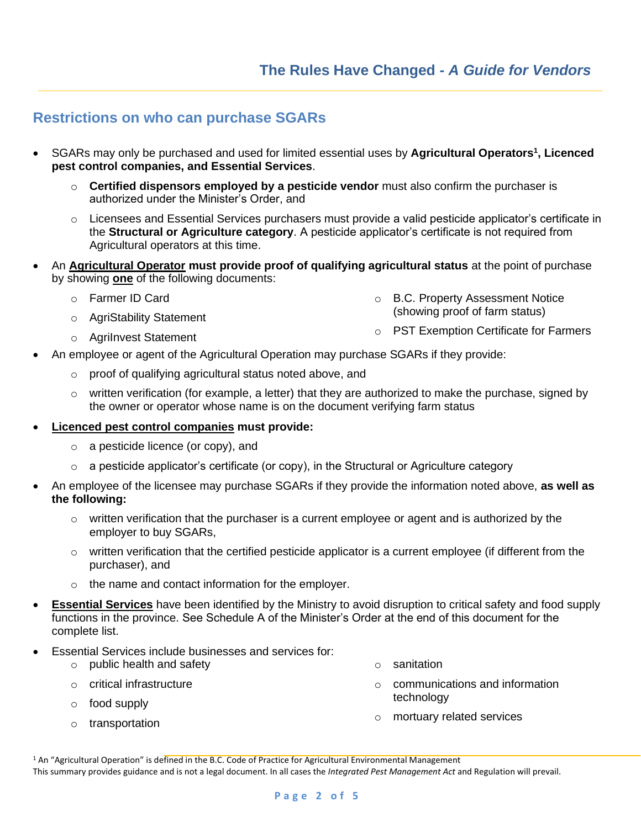#### **Restrictions on who can purchase SGARs**

- SGARs may only be purchased and used for limited essential uses by **Agricultural Operators<sup>1</sup> , Licenced pest control companies, and Essential Services**.
	- o **Certified dispensors employed by a pesticide vendor** must also confirm the purchaser is authorized under the Minister's Order, and
	- $\circ$  Licensees and Essential Services purchasers must provide a valid pesticide applicator's certificate in the **Structural or Agriculture category**. A pesticide applicator's certificate is not required from Agricultural operators at this time.
- An **Agricultural Operator must provide proof of qualifying agricultural status** at the point of purchase by showing **one** of the following documents:
	- o Farmer ID Card
	- o AgriStability Statement
	- o AgriInvest Statement
- An employee or agent of the Agricultural Operation may purchase SGARs if they provide:
	- o proof of qualifying agricultural status noted above, and
	- $\circ$  written verification (for example, a letter) that they are authorized to make the purchase, signed by the owner or operator whose name is on the document verifying farm status
- **Licenced pest control companies must provide:**
	- o a pesticide licence (or copy), and
	- $\circ$  a pesticide applicator's certificate (or copy), in the Structural or Agriculture category
- An employee of the licensee may purchase SGARs if they provide the information noted above, **as well as the following:**
	- $\circ$  written verification that the purchaser is a current employee or agent and is authorized by the employer to buy SGARs,
	- $\circ$  written verification that the certified pesticide applicator is a current employee (if different from the purchaser), and
	- o the name and contact information for the employer.
- **Essential Services** have been identified by the Ministry to avoid disruption to critical safety and food supply functions in the province. See Schedule A of the Minister's Order at the end of this document for the complete list.
- Essential Services include businesses and services for:
	- o public health and safety
	- o critical infrastructure
	- o food supply
	- o transportation
- o sanitation
- o communications and information technology

o B.C. Property Assessment Notice (showing proof of farm status)

o PST Exemption Certificate for Farmers

o mortuary related services

<sup>1</sup> An "Agricultural Operation" is defined in the B.C. Code of Practice for Agricultural Environmental Management This summary provides guidance and is not a legal document. In all cases the *Integrated Pest Management Act* and Regulation will prevail.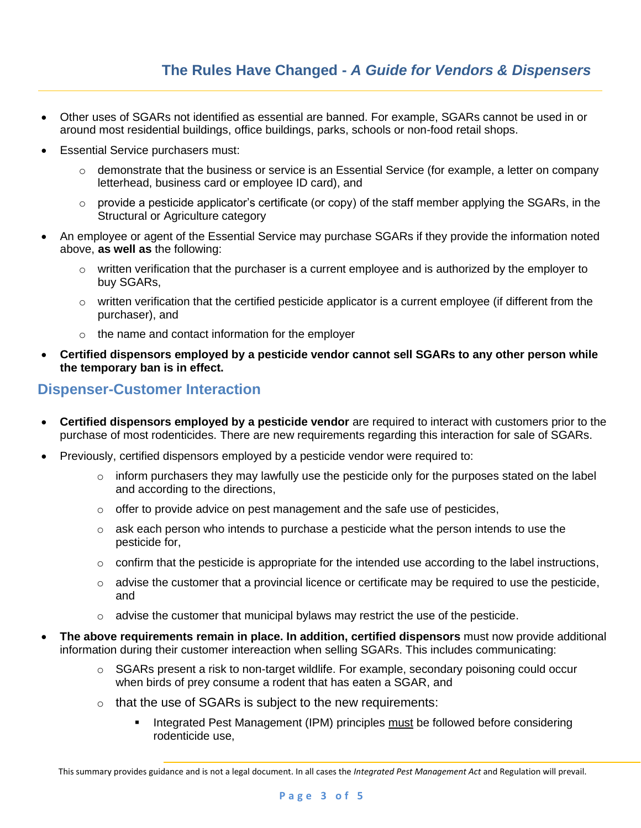- Other uses of SGARs not identified as essential are banned. For example, SGARs cannot be used in or around most residential buildings, office buildings, parks, schools or non-food retail shops.
- Essential Service purchasers must:
	- $\circ$  demonstrate that the business or service is an Essential Service (for example, a letter on company letterhead, business card or employee ID card), and
	- $\circ$  provide a pesticide applicator's certificate (or copy) of the staff member applying the SGARs, in the Structural or Agriculture category
- An employee or agent of the Essential Service may purchase SGARs if they provide the information noted above, **as well as** the following:
	- $\circ$  written verification that the purchaser is a current employee and is authorized by the employer to buy SGARs,
	- $\circ$  written verification that the certified pesticide applicator is a current employee (if different from the purchaser), and
	- o the name and contact information for the employer
- **Certified dispensors employed by a pesticide vendor cannot sell SGARs to any other person while the temporary ban is in effect.**

## **Dispenser-Customer Interaction**

- **Certified dispensors employed by a pesticide vendor** are required to interact with customers prior to the purchase of most rodenticides. There are new requirements regarding this interaction for sale of SGARs.
- Previously, certified dispensors employed by a pesticide vendor were required to:
	- $\circ$  inform purchasers they may lawfully use the pesticide only for the purposes stated on the label and according to the directions,
	- $\circ$  offer to provide advice on pest management and the safe use of pesticides,
	- $\circ$  ask each person who intends to purchase a pesticide what the person intends to use the pesticide for,
	- $\circ$  confirm that the pesticide is appropriate for the intended use according to the label instructions,
	- $\circ$  advise the customer that a provincial licence or certificate may be required to use the pesticide, and
	- $\circ$  advise the customer that municipal bylaws may restrict the use of the pesticide.
- **The above requirements remain in place. In addition, certified dispensors** must now provide additional information during their customer intereaction when selling SGARs. This includes communicating:
	- $\circ$  SGARs present a risk to non-target wildlife. For example, secondary poisoning could occur when birds of prey consume a rodent that has eaten a SGAR, and
	- $\circ$  that the use of SGARs is subject to the new requirements:
		- Integrated Pest Management (IPM) principles must be followed before considering rodenticide use,

This summary provides guidance and is not a legal document. In all cases the *Integrated Pest Management Act* and Regulation will prevail.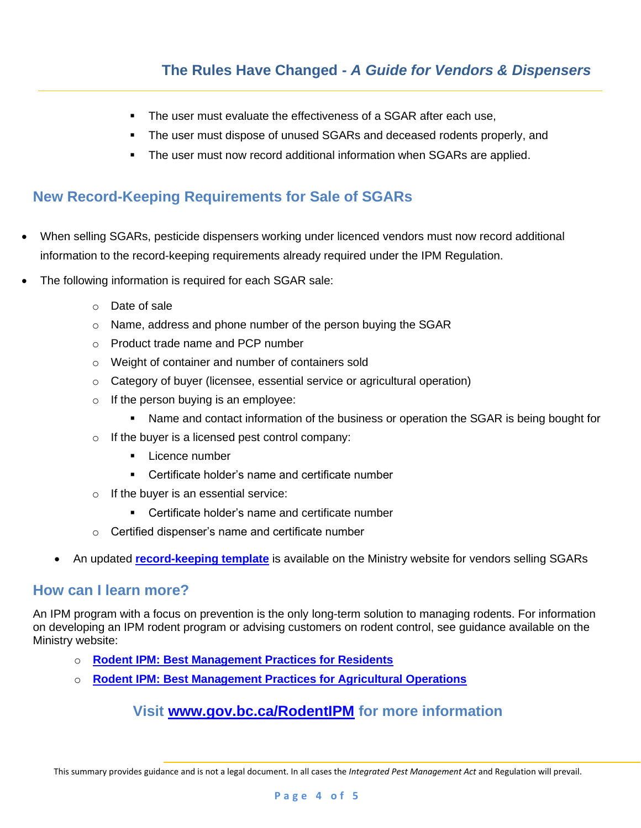- The user must evaluate the effectiveness of a SGAR after each use,
- The user must dispose of unused SGARs and deceased rodents properly, and
- The user must now record additional information when SGARs are applied.

### **New Record-Keeping Requirements for Sale of SGARs**

- When selling SGARs, pesticide dispensers working under licenced vendors must now record additional information to the record-keeping requirements already required under the IPM Regulation.
- The following information is required for each SGAR sale:
	- o Date of sale
	- o Name, address and phone number of the person buying the SGAR
	- o Product trade name and PCP number
	- o Weight of container and number of containers sold
	- $\circ$  Category of buyer (licensee, essential service or agricultural operation)
	- $\circ$  If the person buying is an employee:
		- **■** Name and contact information of the business or operation the SGAR is being bought for
	- o If the buyer is a licensed pest control company:
		- **Exerce number**
		- Certificate holder's name and certificate number
	- $\circ$  If the buyer is an essential service:
		- Certificate holder's name and certificate number
	- o Certified dispenser's name and certificate number
	- An updated **[record-keeping template](https://www2.gov.bc.ca/assets/download/8545B3B9DE434C008586D9DE7F5F62B7)** is available on the Ministry website for vendors selling SGARs

#### **How can I learn more?**

An IPM program with a focus on prevention is the only long-term solution to managing rodents. For information on developing an IPM rodent program or advising customers on rodent control, see guidance available on the Ministry website:

- o **[Rodent IPM: Best Management Practices for Residents](https://www2.gov.bc.ca/assets/download/FD50D98100A84174B7FB4F43BEE8CDCC)**
- o **[Rodent IPM: Best Management Practices for Agricultural Operations](https://www2.gov.bc.ca/assets/download/830931B3BE3842DEB81759284BA9C397)**

#### **Visit [www.gov.bc.ca/RodentIPM](http://www.gov.bc.ca/RodentIPM) for more information**

This summary provides guidance and is not a legal document. In all cases the *Integrated Pest Management Act* and Regulation will prevail.